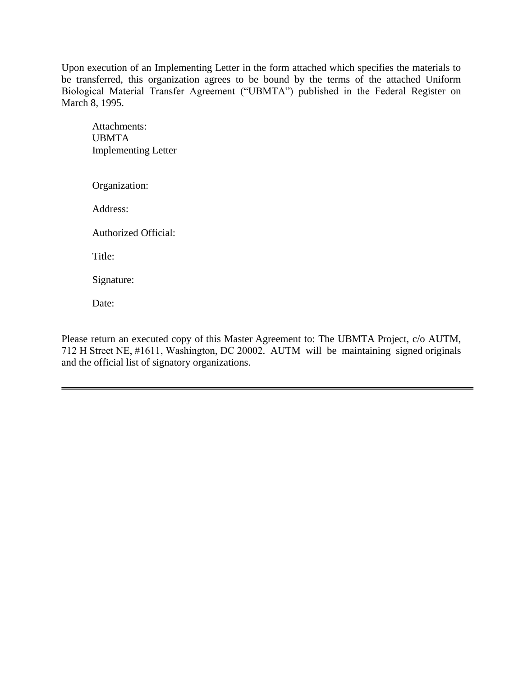Upon execution of an Implementing Letter in the form attached which specifies the materials to be transferred, this organization agrees to be bound by the terms of the attached Uniform Biological Material Transfer Agreement ("UBMTA") published in the Federal Register on March 8, 1995.

Attachments: UBMTA Implementing Letter

Organization:

Address:

Authorized Official:

Title:

Signature:

Date:

Please return an executed copy of this Master Agreement to: The UBMTA Project, c/o AUTM, 712 H Street NE, #1611, Washington, DC 20002. AUTM will be maintaining signed originals and the official list of signatory organizations.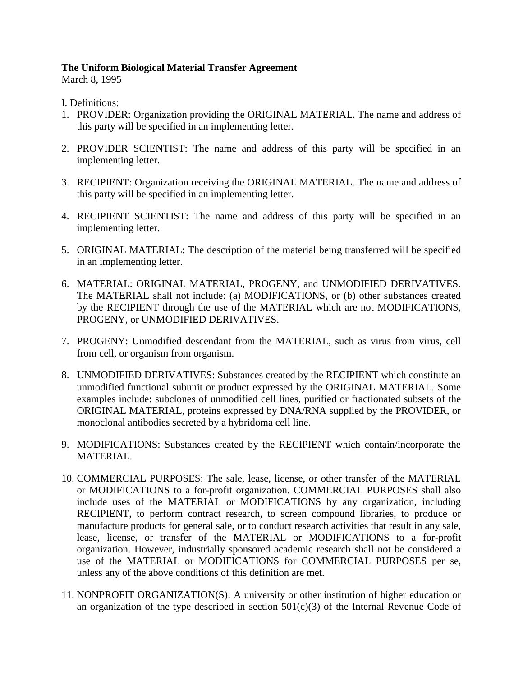## **The Uniform Biological Material Transfer Agreement**

March 8, 1995

- I. Definitions:
- 1. PROVIDER: Organization providing the ORIGINAL MATERIAL. The name and address of this party will be specified in an implementing letter.
- 2. PROVIDER SCIENTIST: The name and address of this party will be specified in an implementing letter.
- 3. RECIPIENT: Organization receiving the ORIGINAL MATERIAL. The name and address of this party will be specified in an implementing letter.
- 4. RECIPIENT SCIENTIST: The name and address of this party will be specified in an implementing letter.
- 5. ORIGINAL MATERIAL: The description of the material being transferred will be specified in an implementing letter.
- 6. MATERIAL: ORIGINAL MATERIAL, PROGENY, and UNMODIFIED DERIVATIVES. The MATERIAL shall not include: (a) MODIFICATIONS, or (b) other substances created by the RECIPIENT through the use of the MATERIAL which are not MODIFICATIONS, PROGENY, or UNMODIFIED DERIVATIVES.
- 7. PROGENY: Unmodified descendant from the MATERIAL, such as virus from virus, cell from cell, or organism from organism.
- 8. UNMODIFIED DERIVATIVES: Substances created by the RECIPIENT which constitute an unmodified functional subunit or product expressed by the ORIGINAL MATERIAL. Some examples include: subclones of unmodified cell lines, purified or fractionated subsets of the ORIGINAL MATERIAL, proteins expressed by DNA/RNA supplied by the PROVIDER, or monoclonal antibodies secreted by a hybridoma cell line.
- 9. MODIFICATIONS: Substances created by the RECIPIENT which contain/incorporate the MATERIAL.
- 10. COMMERCIAL PURPOSES: The sale, lease, license, or other transfer of the MATERIAL or MODIFICATIONS to a for-profit organization. COMMERCIAL PURPOSES shall also include uses of the MATERIAL or MODIFICATIONS by any organization, including RECIPIENT, to perform contract research, to screen compound libraries, to produce or manufacture products for general sale, or to conduct research activities that result in any sale, lease, license, or transfer of the MATERIAL or MODIFICATIONS to a for-profit organization. However, industrially sponsored academic research shall not be considered a use of the MATERIAL or MODIFICATIONS for COMMERCIAL PURPOSES per se, unless any of the above conditions of this definition are met.
- 11. NONPROFIT ORGANIZATION(S): A university or other institution of higher education or an organization of the type described in section  $501(c)(3)$  of the Internal Revenue Code of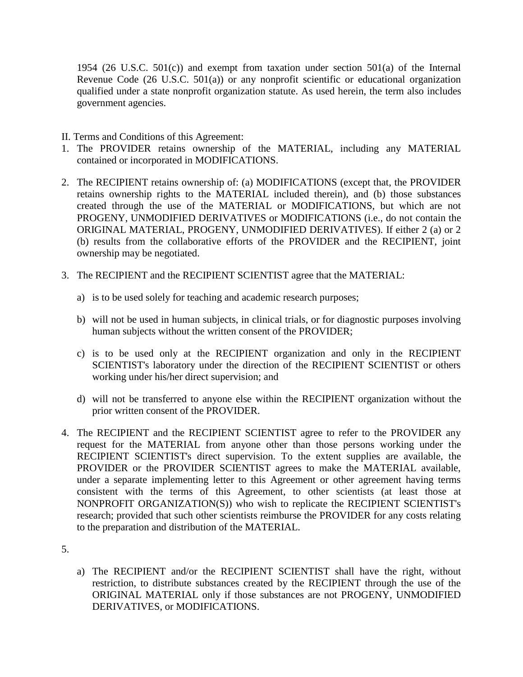1954 (26 U.S.C. 501(c)) and exempt from taxation under section 501(a) of the Internal Revenue Code (26 U.S.C. 501(a)) or any nonprofit scientific or educational organization qualified under a state nonprofit organization statute. As used herein, the term also includes government agencies.

II. Terms and Conditions of this Agreement:

- 1. The PROVIDER retains ownership of the MATERIAL, including any MATERIAL contained or incorporated in MODIFICATIONS.
- 2. The RECIPIENT retains ownership of: (a) MODIFICATIONS (except that, the PROVIDER retains ownership rights to the MATERIAL included therein), and (b) those substances created through the use of the MATERIAL or MODIFICATIONS, but which are not PROGENY, UNMODIFIED DERIVATIVES or MODIFICATIONS (i.e., do not contain the ORIGINAL MATERIAL, PROGENY, UNMODIFIED DERIVATIVES). If either 2 (a) or 2 (b) results from the collaborative efforts of the PROVIDER and the RECIPIENT, joint ownership may be negotiated.
- 3. The RECIPIENT and the RECIPIENT SCIENTIST agree that the MATERIAL:
	- a) is to be used solely for teaching and academic research purposes;
	- b) will not be used in human subjects, in clinical trials, or for diagnostic purposes involving human subjects without the written consent of the PROVIDER;
	- c) is to be used only at the RECIPIENT organization and only in the RECIPIENT SCIENTIST's laboratory under the direction of the RECIPIENT SCIENTIST or others working under his/her direct supervision; and
	- d) will not be transferred to anyone else within the RECIPIENT organization without the prior written consent of the PROVIDER.
- 4. The RECIPIENT and the RECIPIENT SCIENTIST agree to refer to the PROVIDER any request for the MATERIAL from anyone other than those persons working under the RECIPIENT SCIENTIST's direct supervision. To the extent supplies are available, the PROVIDER or the PROVIDER SCIENTIST agrees to make the MATERIAL available, under a separate implementing letter to this Agreement or other agreement having terms consistent with the terms of this Agreement, to other scientists (at least those at NONPROFIT ORGANIZATION(S)) who wish to replicate the RECIPIENT SCIENTIST's research; provided that such other scientists reimburse the PROVIDER for any costs relating to the preparation and distribution of the MATERIAL.

5.

a) The RECIPIENT and/or the RECIPIENT SCIENTIST shall have the right, without restriction, to distribute substances created by the RECIPIENT through the use of the ORIGINAL MATERIAL only if those substances are not PROGENY, UNMODIFIED DERIVATIVES, or MODIFICATIONS.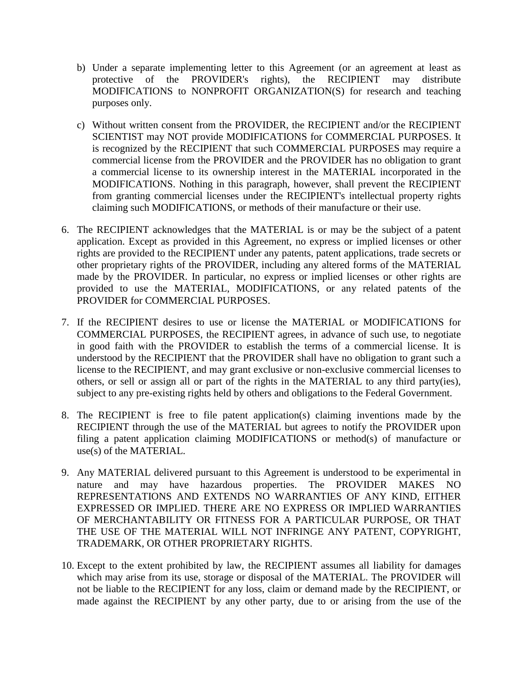- b) Under a separate implementing letter to this Agreement (or an agreement at least as protective of the PROVIDER's rights), the RECIPIENT may distribute MODIFICATIONS to NONPROFIT ORGANIZATION(S) for research and teaching purposes only.
- c) Without written consent from the PROVIDER, the RECIPIENT and/or the RECIPIENT SCIENTIST may NOT provide MODIFICATIONS for COMMERCIAL PURPOSES. It is recognized by the RECIPIENT that such COMMERCIAL PURPOSES may require a commercial license from the PROVIDER and the PROVIDER has no obligation to grant a commercial license to its ownership interest in the MATERIAL incorporated in the MODIFICATIONS. Nothing in this paragraph, however, shall prevent the RECIPIENT from granting commercial licenses under the RECIPIENT's intellectual property rights claiming such MODIFICATIONS, or methods of their manufacture or their use.
- 6. The RECIPIENT acknowledges that the MATERIAL is or may be the subject of a patent application. Except as provided in this Agreement, no express or implied licenses or other rights are provided to the RECIPIENT under any patents, patent applications, trade secrets or other proprietary rights of the PROVIDER, including any altered forms of the MATERIAL made by the PROVIDER. In particular, no express or implied licenses or other rights are provided to use the MATERIAL, MODIFICATIONS, or any related patents of the PROVIDER for COMMERCIAL PURPOSES.
- 7. If the RECIPIENT desires to use or license the MATERIAL or MODIFICATIONS for COMMERCIAL PURPOSES, the RECIPIENT agrees, in advance of such use, to negotiate in good faith with the PROVIDER to establish the terms of a commercial license. It is understood by the RECIPIENT that the PROVIDER shall have no obligation to grant such a license to the RECIPIENT, and may grant exclusive or non-exclusive commercial licenses to others, or sell or assign all or part of the rights in the MATERIAL to any third party(ies), subject to any pre-existing rights held by others and obligations to the Federal Government.
- 8. The RECIPIENT is free to file patent application(s) claiming inventions made by the RECIPIENT through the use of the MATERIAL but agrees to notify the PROVIDER upon filing a patent application claiming MODIFICATIONS or method(s) of manufacture or use(s) of the MATERIAL.
- 9. Any MATERIAL delivered pursuant to this Agreement is understood to be experimental in nature and may have hazardous properties. The PROVIDER MAKES NO REPRESENTATIONS AND EXTENDS NO WARRANTIES OF ANY KIND, EITHER EXPRESSED OR IMPLIED. THERE ARE NO EXPRESS OR IMPLIED WARRANTIES OF MERCHANTABILITY OR FITNESS FOR A PARTICULAR PURPOSE, OR THAT THE USE OF THE MATERIAL WILL NOT INFRINGE ANY PATENT, COPYRIGHT, TRADEMARK, OR OTHER PROPRIETARY RIGHTS.
- 10. Except to the extent prohibited by law, the RECIPIENT assumes all liability for damages which may arise from its use, storage or disposal of the MATERIAL. The PROVIDER will not be liable to the RECIPIENT for any loss, claim or demand made by the RECIPIENT, or made against the RECIPIENT by any other party, due to or arising from the use of the